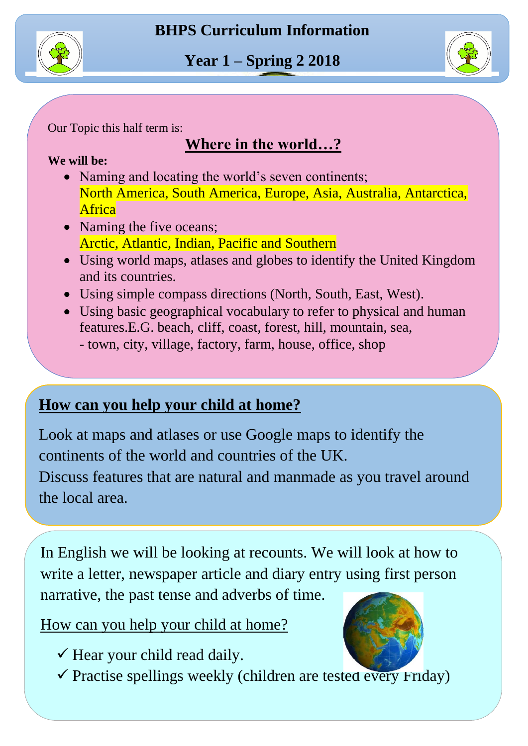

์<br>r Our Topic this half term is:

# **Where in the world…?**

#### $\ddot{\phantom{0}}$ **We will be:**

- $\overline{\phantom{a}}$ • Naming and locating the world's seven continents; North America, South America, Europe, Asia, Australia, Antarctica, Africa
- Naming the five oceans; Arctic, Atlantic, Indian, Pacific and Southern
- Using world maps, atlases and globes to identify the United Kingdom and its countries.
- Using simple compass directions (North, South, East, West).
- ์<br>บ  $\mathbf{r}$  Using basic geographical vocabulary to refer to physical and human features.E.G. beach, cliff, coast, forest, hill, mountain, sea, - town, city, village, factory, farm, house, office, shop

#### $\overline{a}$ **How can you help your child at home?**

 $\overline{\ }$ Look at maps and atlases or use Google maps to identify the continents of the world and countries of the UK.

 $\overline{\text{d}}$  Discuss features that are natural and manmade as you travel around the local area.

 $\mathbf{C}$  $\ddot{\phantom{0}}$ In English we will be looking at recounts. We will look at how to write a letter, newspaper article and diary entry using first person narrative, the past tense and adverbs of time.

How can you help your child at home?  $\overline{a}$ 

- $\checkmark$  Hear your child read daily.
- $\checkmark$  Practise spellings weekly (children are tested every Friday)